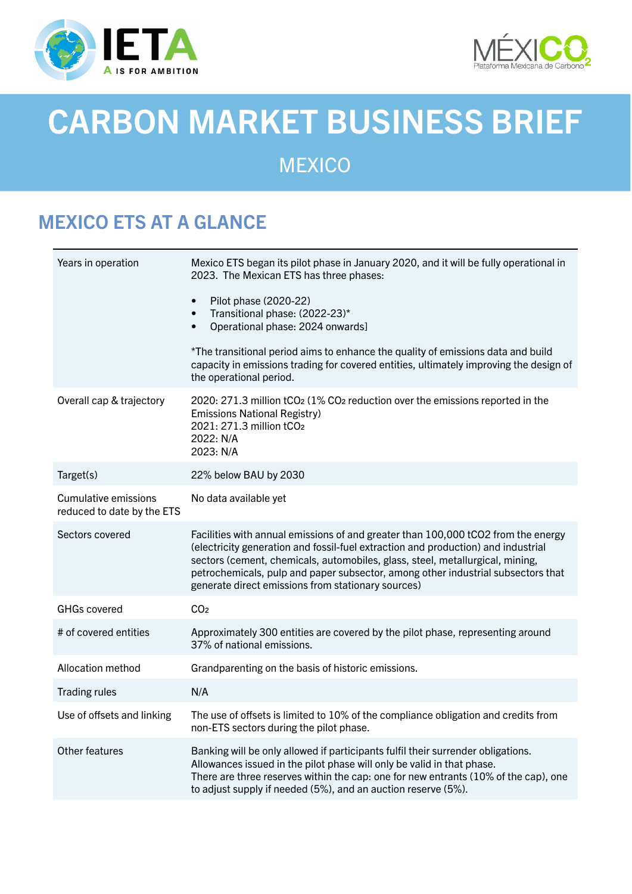



# CARBON MARKET BUSINESS BRIEF

**MEXICO** 

## MEXICO ETS AT A GLANCE

| Years in operation                                        | Mexico ETS began its pilot phase in January 2020, and it will be fully operational in<br>2023. The Mexican ETS has three phases:<br>Pilot phase (2020-22)<br>$\bullet$<br>Transitional phase: (2022-23)*<br>$\bullet$<br>Operational phase: 2024 onwards]<br>$\bullet$<br>*The transitional period aims to enhance the quality of emissions data and build<br>capacity in emissions trading for covered entities, ultimately improving the design of |
|-----------------------------------------------------------|------------------------------------------------------------------------------------------------------------------------------------------------------------------------------------------------------------------------------------------------------------------------------------------------------------------------------------------------------------------------------------------------------------------------------------------------------|
|                                                           | the operational period.                                                                                                                                                                                                                                                                                                                                                                                                                              |
| Overall cap & trajectory                                  | 2020: 271.3 million tCO <sub>2</sub> (1% CO <sub>2</sub> reduction over the emissions reported in the<br><b>Emissions National Registry)</b><br>2021: 271.3 million tCO2<br>2022: N/A<br>2023: N/A                                                                                                                                                                                                                                                   |
| Target(s)                                                 | 22% below BAU by 2030                                                                                                                                                                                                                                                                                                                                                                                                                                |
| <b>Cumulative emissions</b><br>reduced to date by the ETS | No data available yet                                                                                                                                                                                                                                                                                                                                                                                                                                |
| Sectors covered                                           | Facilities with annual emissions of and greater than 100,000 tCO2 from the energy<br>(electricity generation and fossil-fuel extraction and production) and industrial<br>sectors (cement, chemicals, automobiles, glass, steel, metallurgical, mining,<br>petrochemicals, pulp and paper subsector, among other industrial subsectors that<br>generate direct emissions from stationary sources)                                                    |
| <b>GHGs covered</b>                                       | CO <sub>2</sub>                                                                                                                                                                                                                                                                                                                                                                                                                                      |
| # of covered entities                                     | Approximately 300 entities are covered by the pilot phase, representing around<br>37% of national emissions.                                                                                                                                                                                                                                                                                                                                         |
| Allocation method                                         | Grandparenting on the basis of historic emissions.                                                                                                                                                                                                                                                                                                                                                                                                   |
| <b>Trading rules</b>                                      | N/A                                                                                                                                                                                                                                                                                                                                                                                                                                                  |
| Use of offsets and linking                                | The use of offsets is limited to 10% of the compliance obligation and credits from<br>non-ETS sectors during the pilot phase.                                                                                                                                                                                                                                                                                                                        |
| Other features                                            | Banking will be only allowed if participants fulfil their surrender obligations.<br>Allowances issued in the pilot phase will only be valid in that phase.<br>There are three reserves within the cap: one for new entrants (10% of the cap), one<br>to adjust supply if needed (5%), and an auction reserve (5%).                                                                                                                                   |